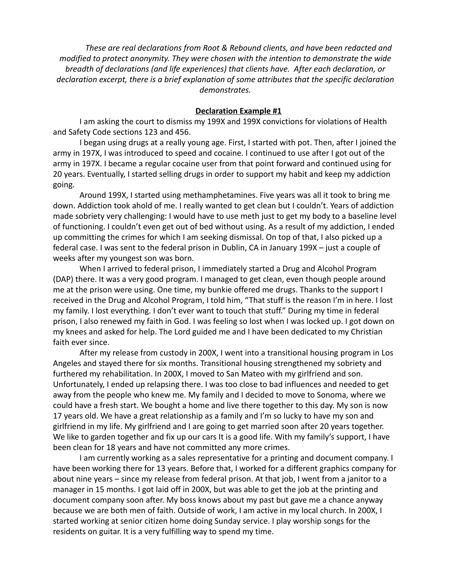*These are real declarations from Root & Rebound clients, and have been redacted and modified to protect anonymity. They were chosen with the intention to demonstrate the wide breadth of declarations (and life experiences) that clients have. After each declaration, or declaration excerpt, there is a brief explanation of some attributes that the specific declaration demonstrates.*

#### **Declaration Example #1**

I am asking the court to dismiss my 199X and 199X convictions for violations of Health and Safety Code sections 123 and 456.

I began using drugs at a really young age. First, I started with pot. Then, after I joined the army in 197X, I was introduced to speed and cocaine. I continued to use after I got out of the army in 197X. I became a regular cocaine user from that point forward and continued using for 20 years. Eventually, I started selling drugs in order to support my habit and keep my addiction going.

Around 199X, I started using methamphetamines. Five years was all it took to bring me down. Addiction took ahold of me. I really wanted to get clean but I couldn't. Years of addiction made sobriety very challenging: I would have to use meth just to get my body to a baseline level of functioning. I couldn't even get out of bed without using. As a result of my addiction, I ended up committing the crimes for which I am seeking dismissal. On top of that, I also picked up a federal case. I was sent to the federal prison in Dublin, CA in January 199X – just a couple of weeks after my youngest son was born.

When I arrived to federal prison, I immediately started a Drug and Alcohol Program (DAP) there. It was a very good program. I managed to get clean, even though people around me at the prison were using. One time, my bunkie offered me drugs. Thanks to the support I received in the Drug and Alcohol Program, I told him, "That stuff is the reason I'm in here. I lost my family. I lost everything. I don't ever want to touch that stuff." During my time in federal prison, I also renewed my faith in God. I was feeling so lost when I was locked up. I got down on my knees and asked for help. The Lord guided me and I have been dedicated to my Christian faith ever since.

After my release from custody in 200X, I went into a transitional housing program in Los Angeles and stayed there for six months. Transitional housing strengthened my sobriety and furthered my rehabilitation. In 200X, I moved to San Mateo with my girlfriend and son. Unfortunately, I ended up relapsing there. I was too close to bad influences and needed to get away from the people who knew me. My family and I decided to move to Sonoma, where we could have a fresh start. We bought a home and live there together to this day. My son is now 17 years old. We have a great relationship as a family and I'm so lucky to have my son and girlfriend in my life. My girlfriend and I are going to get married soon after 20 years together. We like to garden together and fix up our cars It is a good life. With my family's support, I have been clean for 18 years and have not committed any more crimes.

I am currently working as a sales representative for a printing and document company. I have been working there for 13 years. Before that, I worked for a different graphics company for about nine years – since my release from federal prison. At that job, I went from a janitor to a manager in 15 months. I got laid off in 200X, but was able to get the job at the printing and document company soon after. My boss knows about my past but gave me a chance anyway because we are both men of faith. Outside of work, I am active in my local church. In 200X, I started working at senior citizen home doing Sunday service. I play worship songs for the residents on guitar. It is a very fulfilling way to spend my time.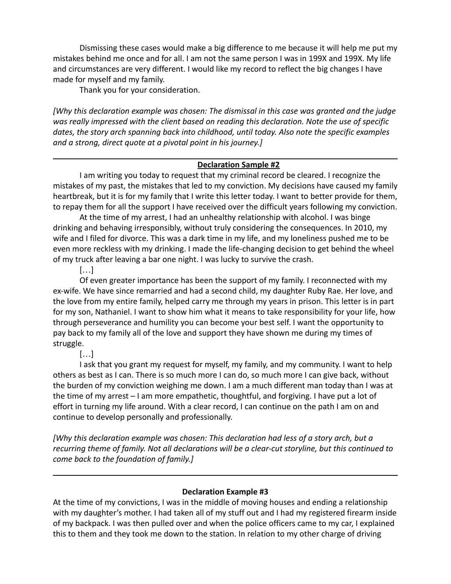Dismissing these cases would make a big difference to me because it will help me put my mistakes behind me once and for all. I am not the same person I was in 199X and 199X. My life and circumstances are very different. I would like my record to reflect the big changes I have made for myself and my family.

Thank you for your consideration.

*[Why this declaration example was chosen: The dismissal in this case was granted and the judge was really impressed with the client based on reading this declaration. Note the use of specific dates, the story arch spanning back into childhood, until today. Also note the specific examples and a strong, direct quote at a pivotal point in his journey.]*

#### **Declaration Sample #2**

I am writing you today to request that my criminal record be cleared. I recognize the mistakes of my past, the mistakes that led to my conviction. My decisions have caused my family heartbreak, but it is for my family that I write this letter today. I want to better provide for them, to repay them for all the support I have received over the difficult years following my conviction.

At the time of my arrest, I had an unhealthy relationship with alcohol. I was binge drinking and behaving irresponsibly, without truly considering the consequences. In 2010, my wife and I filed for divorce. This was a dark time in my life, and my loneliness pushed me to be even more reckless with my drinking. I made the life-changing decision to get behind the wheel of my truck after leaving a bar one night. I was lucky to survive the crash.

[…]

Of even greater importance has been the support of my family. I reconnected with my ex-wife. We have since remarried and had a second child, my daughter Ruby Rae. Her love, and the love from my entire family, helped carry me through my years in prison. This letter is in part for my son, Nathaniel. I want to show him what it means to take responsibility for your life, how through perseverance and humility you can become your best self. I want the opportunity to pay back to my family all of the love and support they have shown me during my times of struggle.

[…]

I ask that you grant my request for myself, my family, and my community. I want to help others as best as I can. There is so much more I can do, so much more I can give back, without the burden of my conviction weighing me down. I am a much different man today than I was at the time of my arrest – I am more empathetic, thoughtful, and forgiving. I have put a lot of effort in turning my life around. With a clear record, I can continue on the path I am on and continue to develop personally and professionally.

*[Why this declaration example was chosen: This declaration had less of a story arch, but a recurring theme of family. Not all declarations will be a clear-cut storyline, but this continued to come back to the foundation of family.]*

# **Declaration Example #3**

At the time of my convictions, I was in the middle of moving houses and ending a relationship with my daughter's mother. I had taken all of my stuff out and I had my registered firearm inside of my backpack. I was then pulled over and when the police officers came to my car, I explained this to them and they took me down to the station. In relation to my other charge of driving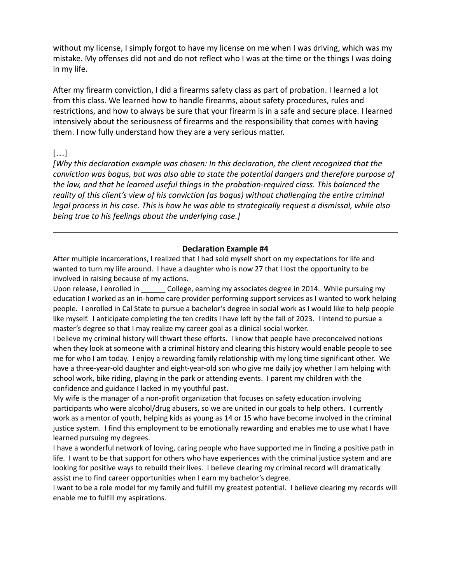without my license, I simply forgot to have my license on me when I was driving, which was my mistake. My offenses did not and do not reflect who I was at the time or the things I was doing in my life.

After my firearm conviction, I did a firearms safety class as part of probation. I learned a lot from this class. We learned how to handle firearms, about safety procedures, rules and restrictions, and how to always be sure that your firearm is in a safe and secure place. I learned intensively about the seriousness of firearms and the responsibility that comes with having them. I now fully understand how they are a very serious matter.

# […]

*[Why this declaration example was chosen: In this declaration, the client recognized that the conviction was bogus, but was also able to state the potential dangers and therefore purpose of the law, and that he learned useful things in the probation-required class. This balanced the reality of this client's view of his conviction (as bogus) without challenging the entire criminal legal process in his case. This is how he was able to strategically request a dismissal, while also being true to his feelings about the underlying case.]*

### **Declaration Example #4**

After multiple incarcerations, I realized that I had sold myself short on my expectations for life and wanted to turn my life around. I have a daughter who is now 27 that I lost the opportunity to be involved in raising because of my actions.

Upon release, I enrolled in \_\_\_\_\_\_\_ College, earning my associates degree in 2014. While pursuing my education I worked as an in-home care provider performing support services as I wanted to work helping people. I enrolled in Cal State to pursue a bachelor's degree in social work as I would like to help people like myself. I anticipate completing the ten credits I have left by the fall of 2023. I intend to pursue a master's degree so that I may realize my career goal as a clinical social worker.

I believe my criminal history will thwart these efforts. I know that people have preconceived notions when they look at someone with a criminal history and clearing this history would enable people to see me for who I am today. I enjoy a rewarding family relationship with my long time significant other. We have a three-year-old daughter and eight-year-old son who give me daily joy whether I am helping with school work, bike riding, playing in the park or attending events. I parent my children with the confidence and guidance I lacked in my youthful past.

My wife is the manager of a non-profit organization that focuses on safety education involving participants who were alcohol/drug abusers, so we are united in our goals to help others. I currently work as a mentor of youth, helping kids as young as 14 or 15 who have become involved in the criminal justice system. I find this employment to be emotionally rewarding and enables me to use what I have learned pursuing my degrees.

I have a wonderful network of loving, caring people who have supported me in finding a positive path in life. I want to be that support for others who have experiences with the criminal justice system and are looking for positive ways to rebuild their lives. I believe clearing my criminal record will dramatically assist me to find career opportunities when I earn my bachelor's degree.

I want to be a role model for my family and fulfill my greatest potential. I believe clearing my records will enable me to fulfill my aspirations.